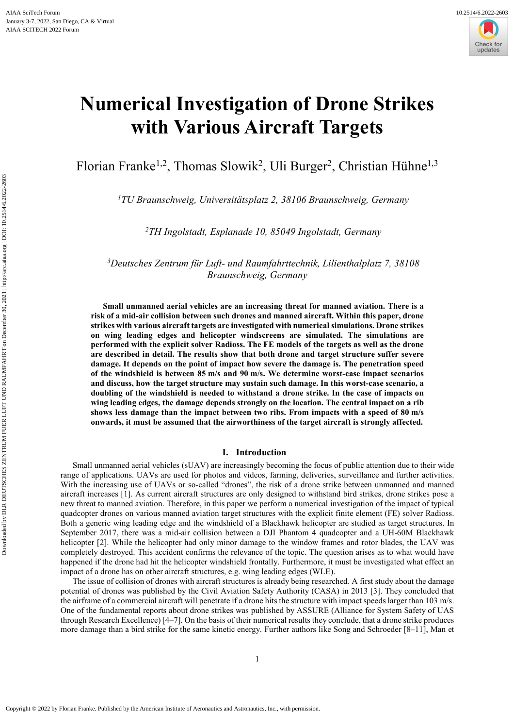

# **Numerical Investigation of Drone Strikes with Various Aircraft Targets**

Florian Franke<sup>1,2</sup>, Thomas Slowik<sup>2</sup>, Uli Burger<sup>2</sup>, Christian Hühne<sup>1,3</sup>

*<sup>1</sup>TU Braunschweig, Universitätsplatz 2, 38106 Braunschweig, Germany* 

*<sup>2</sup>TH Ingolstadt, Esplanade 10, 85049 Ingolstadt, Germany* 

*<sup>3</sup>Deutsches Zentrum für Luft- und Raumfahrttechnik, Lilienthalplatz 7, 38108 Braunschweig, Germany* 

**Small unmanned aerial vehicles are an increasing threat for manned aviation. There is a risk of a mid-air collision between such drones and manned aircraft. Within this paper, drone strikes with various aircraft targets are investigated with numerical simulations. Drone strikes on wing leading edges and helicopter windscreens are simulated. The simulations are performed with the explicit solver Radioss. The FE models of the targets as well as the drone are described in detail. The results show that both drone and target structure suffer severe damage. It depends on the point of impact how severe the damage is. The penetration speed of the windshield is between 85 m/s and 90 m/s. We determine worst-case impact scenarios and discuss, how the target structure may sustain such damage. In this worst-case scenario, a doubling of the windshield is needed to withstand a drone strike. In the case of impacts on wing leading edges, the damage depends strongly on the location. The central impact on a rib shows less damage than the impact between two ribs. From impacts with a speed of 80 m/s onwards, it must be assumed that the airworthiness of the target aircraft is strongly affected.** 

#### **I. Introduction**

Small unmanned aerial vehicles (sUAV) are increasingly becoming the focus of public attention due to their wide range of applications. UAVs are used for photos and videos, farming, deliveries, surveillance and further activities. With the increasing use of UAVs or so-called "drones", the risk of a drone strike between unmanned and manned aircraft increases [1]. As current aircraft structures are only designed to withstand bird strikes, drone strikes pose a new threat to manned aviation. Therefore, in this paper we perform a numerical investigation of the impact of typical quadcopter drones on various manned aviation target structures with the explicit finite element (FE) solver Radioss. Both a generic wing leading edge and the windshield of a Blackhawk helicopter are studied as target structures. In September 2017, there was a mid-air collision between a DJI Phantom 4 quadcopter and a UH-60M Blackhawk helicopter [2]. While the helicopter had only minor damage to the window frames and rotor blades, the UAV was completely destroyed. This accident confirms the relevance of the topic. The question arises as to what would have happened if the drone had hit the helicopter windshield frontally. Furthermore, it must be investigated what effect an impact of a drone has on other aircraft structures, e.g. wing leading edges (WLE).

The issue of collision of drones with aircraft structures is already being researched. A first study about the damage potential of drones was published by the Civil Aviation Safety Authority (CASA) in 2013 [3]. They concluded that the airframe of a commercial aircraft will penetrate if a drone hits the structure with impact speeds larger than 103 m/s. One of the fundamental reports about drone strikes was published by ASSURE (Alliance for System Safety of UAS through Research Excellence) [4–7]. On the basis of their numerical results they conclude, that a drone strike produces more damage than a bird strike for the same kinetic energy. Further authors like Song and Schroeder [8–11], Man et

1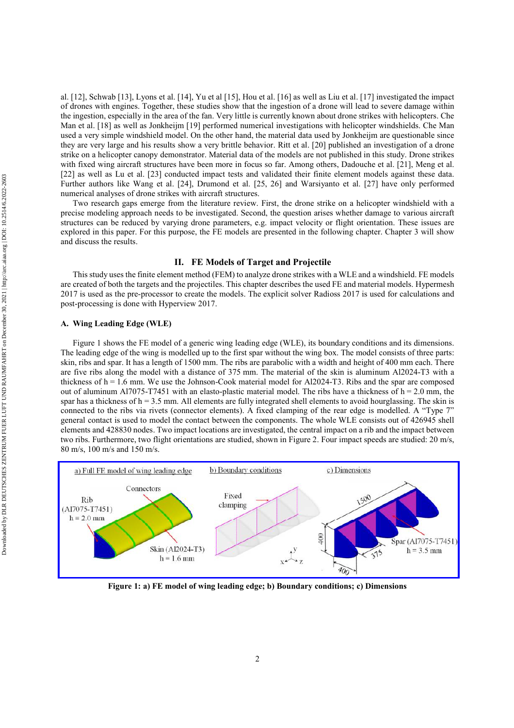al. [12], Schwab [13], Lyons et al. [14], Yu et al [15], Hou et al. [16] as well as Liu et al. [17] investigated the impact of drones with engines. Together, these studies show that the ingestion of a drone will lead to severe damage within the ingestion, especially in the area of the fan. Very little is currently known about drone strikes with helicopters. Che Man et al. [18] as well as Jonkheijm [19] performed numerical investigations with helicopter windshields. Che Man used a very simple windshield model. On the other hand, the material data used by Jonkheijm are questionable since they are very large and his results show a very brittle behavior. Ritt et al. [20] published an investigation of a drone strike on a helicopter canopy demonstrator. Material data of the models are not published in this study. Drone strikes with fixed wing aircraft structures have been more in focus so far. Among others, Dadouche et al. [21], Meng et al. [22] as well as Lu et al. [23] conducted impact tests and validated their finite element models against these data. Further authors like Wang et al. [24], Drumond et al. [25, 26] and Warsiyanto et al. [27] have only performed numerical analyses of drone strikes with aircraft structures.

Two research gaps emerge from the literature review. First, the drone strike on a helicopter windshield with a precise modeling approach needs to be investigated. Second, the question arises whether damage to various aircraft structures can be reduced by varying drone parameters, e.g. impact velocity or flight orientation. These issues are explored in this paper. For this purpose, the FE models are presented in the following chapter. Chapter 3 will show and discuss the results.

# **II. FE Models of Target and Projectile**

This study uses the finite element method (FEM) to analyze drone strikes with a WLE and a windshield. FE models are created of both the targets and the projectiles. This chapter describes the used FE and material models. Hypermesh 2017 is used as the pre-processor to create the models. The explicit solver Radioss 2017 is used for calculations and post-processing is done with Hyperview 2017.

#### **A. Wing Leading Edge (WLE)**

Figure 1 shows the FE model of a generic wing leading edge (WLE), its boundary conditions and its dimensions. The leading edge of the wing is modelled up to the first spar without the wing box. The model consists of three parts: skin, ribs and spar. It has a length of 1500 mm. The ribs are parabolic with a width and height of 400 mm each. There are five ribs along the model with a distance of 375 mm. The material of the skin is aluminum Al2024-T3 with a thickness of h = 1.6 mm. We use the Johnson-Cook material model for Al2024-T3. Ribs and the spar are composed out of aluminum Al7075-T7451 with an elasto-plastic material model. The ribs have a thickness of  $h = 2.0$  mm, the spar has a thickness of h = 3.5 mm. All elements are fully integrated shell elements to avoid hourglassing. The skin is connected to the ribs via rivets (connector elements). A fixed clamping of the rear edge is modelled. A "Type 7" general contact is used to model the contact between the components. The whole WLE consists out of 426945 shell elements and 428830 nodes. Two impact locations are investigated, the central impact on a rib and the impact between two ribs. Furthermore, two flight orientations are studied, shown in Figure 2. Four impact speeds are studied: 20 m/s, 80 m/s, 100 m/s and 150 m/s.



**Figure 1: a) FE model of wing leading edge; b) Boundary conditions; c) Dimensions**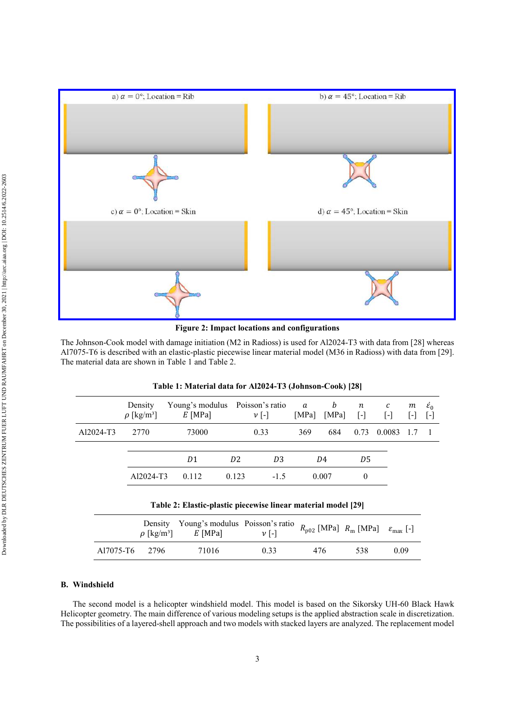

**Figure 2: Impact locations and configurations** 

The Johnson-Cook model with damage initiation (M2 in Radioss) is used for Al2024-T3 with data from [28] whereas Al7075-T6 is described with an elastic-plastic piecewise linear material model (M36 in Radioss) with data from [29]. The material data are shown in Table 1 and Table 2.

|           | Density<br>$\rho$ [kg/m <sup>3</sup> ] | Young's modulus Poisson's ratio<br>$E$ [MPa]                  |                | $\nu$ [-]      | a<br>[MPa] | b<br>[MPa] | $\boldsymbol{n}$<br>$\vert$ -l | с<br>$\lceil \cdot \rceil$ | m<br>$\vert$ – $\vert$ | $\varepsilon_0$<br>$ - $ |
|-----------|----------------------------------------|---------------------------------------------------------------|----------------|----------------|------------|------------|--------------------------------|----------------------------|------------------------|--------------------------|
| Al2024-T3 | 2770                                   | 73000                                                         |                | 0.33           | 369        | 684        | 0.73                           | 0.0083                     |                        |                          |
|           |                                        | D1                                                            | D <sub>2</sub> | D <sub>3</sub> |            | D4         | D5                             |                            |                        |                          |
|           | Al2024-T3                              | 0.112                                                         | 0.123          | $-1.5$         |            | 0.007      | $\theta$                       |                            |                        |                          |
|           |                                        | Table 2: Elastic-plastic piecewise linear material model [29] |                |                |            |            |                                |                            |                        |                          |

| Table 1: Material data for Al2024-T3 (Johnson-Cook) [28] |
|----------------------------------------------------------|
|----------------------------------------------------------|

|                | Density Young's modulus Poisson's ratio $R_{p02}$ [MPa] $R_m$ [MPa] $\varepsilon_{\text{max}}$ [-] |      |     |     |      |
|----------------|----------------------------------------------------------------------------------------------------|------|-----|-----|------|
| A17075-T6 2796 | 71016                                                                                              | 0.33 | 476 | 538 | 0.09 |

# **B. Windshield**

The second model is a helicopter windshield model. This model is based on the Sikorsky UH-60 Black Hawk Helicopter geometry. The main difference of various modeling setups is the applied abstraction scale in discretization. The possibilities of a layered-shell approach and two models with stacked layers are analyzed. The replacement model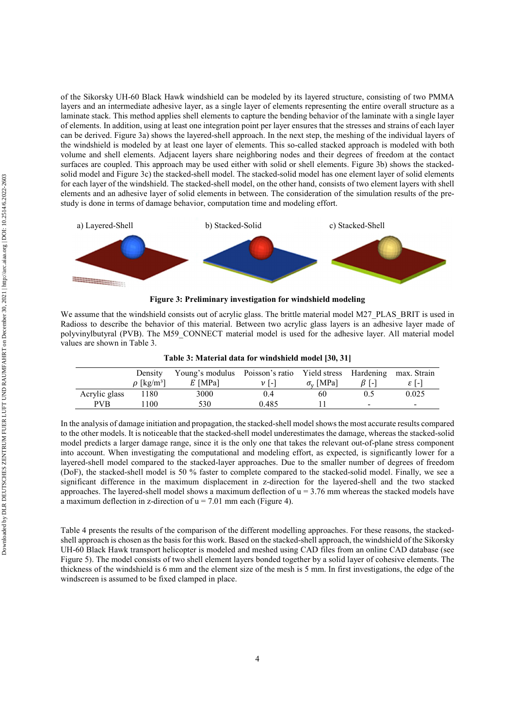of the Sikorsky UH-60 Black Hawk windshield can be modeled by its layered structure, consisting of two PMMA layers and an intermediate adhesive layer, as a single layer of elements representing the entire overall structure as a laminate stack. This method applies shell elements to capture the bending behavior of the laminate with a single layer of elements. In addition, using at least one integration point per layer ensures that the stresses and strains of each layer can be derived. Figure 3a) shows the layered-shell approach. In the next step, the meshing of the individual layers of the windshield is modeled by at least one layer of elements. This so-called stacked approach is modeled with both volume and shell elements. Adjacent layers share neighboring nodes and their degrees of freedom at the contact surfaces are coupled. This approach may be used either with solid or shell elements. Figure 3b) shows the stackedsolid model and Figure 3c) the stacked-shell model. The stacked-solid model has one element layer of solid elements for each layer of the windshield. The stacked-shell model, on the other hand, consists of two element layers with shell elements and an adhesive layer of solid elements in between. The consideration of the simulation results of the prestudy is done in terms of damage behavior, computation time and modeling effort.





We assume that the windshield consists out of acrylic glass. The brittle material model M27 PLAS BRIT is used in Radioss to describe the behavior of this material. Between two acrylic glass layers is an adhesive layer made of polyvinylbutyral (PVB). The M59\_CONNECT material model is used for the adhesive layer. All material model values are shown in Table 3.

|               | Density                     | Young's modulus Poisson's ratio Yield stress Hardening |               |                        |                          | max. Strain |
|---------------|-----------------------------|--------------------------------------------------------|---------------|------------------------|--------------------------|-------------|
|               | $\rho$ [kg/m <sup>3</sup> ] | $E$ [MPa]                                              | $\nu$ I-I     | $\sigma_{\rm v}$ [MPa] | 13 I - I                 | ا - ا ع     |
| Acrylic glass | 1180                        | 3000                                                   | $0.4^{\circ}$ | 60                     |                          | 0.025       |
| <b>PVB</b>    | 100                         | 530                                                    | 0.485         |                        | $\overline{\phantom{0}}$ | -           |

**Table 3: Material data for windshield model [30, 31]** 

In the analysis of damage initiation and propagation, the stacked-shell model shows the most accurate results compared to the other models. It is noticeable that the stacked-shell model underestimates the damage, whereas the stacked-solid model predicts a larger damage range, since it is the only one that takes the relevant out-of-plane stress component into account. When investigating the computational and modeling effort, as expected, is significantly lower for a layered-shell model compared to the stacked-layer approaches. Due to the smaller number of degrees of freedom (DoF), the stacked-shell model is 50 % faster to complete compared to the stacked-solid model. Finally, we see a significant difference in the maximum displacement in z-direction for the layered-shell and the two stacked approaches. The layered-shell model shows a maximum deflection of  $u = 3.76$  mm whereas the stacked models have a maximum deflection in z-direction of  $u = 7.01$  mm each (Figure 4).

Table 4 presents the results of the comparison of the different modelling approaches. For these reasons, the stackedshell approach is chosen as the basis for this work. Based on the stacked-shell approach, the windshield of the Sikorsky UH-60 Black Hawk transport helicopter is modeled and meshed using CAD files from an online CAD database (see Figure 5). The model consists of two shell element layers bonded together by a solid layer of cohesive elements. The thickness of the windshield is 6 mm and the element size of the mesh is 5 mm. In first investigations, the edge of the windscreen is assumed to be fixed clamped in place.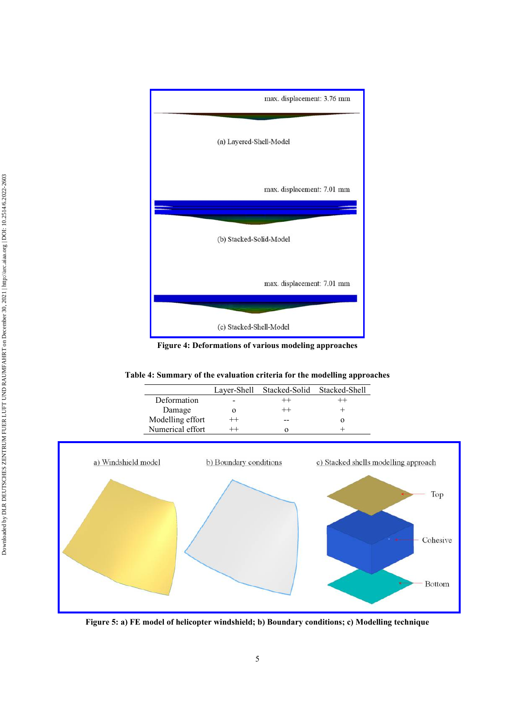

**Figure 4: Deformations of various modeling approaches** 

**Table 4: Summary of the evaluation criteria for the modelling approaches** 

|                  |         | Laver-Shell Stacked-Solid Stacked-Shell |  |
|------------------|---------|-----------------------------------------|--|
| Deformation      |         |                                         |  |
| Damage           |         |                                         |  |
| Modelling effort | $^{++}$ |                                         |  |
| Numerical effort |         |                                         |  |



**Figure 5: a) FE model of helicopter windshield; b) Boundary conditions; c) Modelling technique**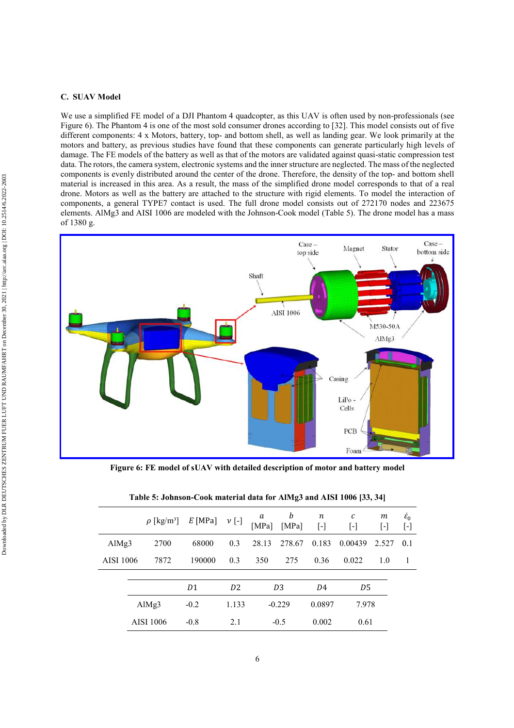#### **C. SUAV Model**

We use a simplified FE model of a DJI Phantom 4 quadcopter, as this UAV is often used by non-professionals (see Figure 6). The Phantom 4 is one of the most sold consumer drones according to [32]. This model consists out of five different components: 4 x Motors, battery, top- and bottom shell, as well as landing gear. We look primarily at the motors and battery, as previous studies have found that these components can generate particularly high levels of damage. The FE models of the battery as well as that of the motors are validated against quasi-static compression test data. The rotors, the camera system, electronic systems and the inner structure are neglected. The mass of the neglected components is evenly distributed around the center of the drone. Therefore, the density of the top- and bottom shell material is increased in this area. As a result, the mass of the simplified drone model corresponds to that of a real drone. Motors as well as the battery are attached to the structure with rigid elements. To model the interaction of components, a general TYPE7 contact is used. The full drone model consists out of 272170 nodes and 223675 elements. AlMg3 and AISI 1006 are modeled with the Johnson-Cook model (Table 5). The drone model has a mass of 1380 g.



**Figure 6: FE model of sUAV with detailed description of motor and battery model** 

| b<br>m<br>n<br>с<br>a<br>$E$ [MPa]<br>$\nu$ [-]<br>$\rho$ [kg/m <sup>3</sup> ]<br>[MPa]<br>[MPa]<br>$[\cdot]$<br>$[\cdot]$<br>$[\cdot]$<br>2700<br>68000<br>0.3<br>28.13<br>278.67<br>0.183<br>0.00439<br>AlMg $3$<br>2.527 |                              |
|-----------------------------------------------------------------------------------------------------------------------------------------------------------------------------------------------------------------------------|------------------------------|
|                                                                                                                                                                                                                             | $\varepsilon_0$<br>$[\cdot]$ |
|                                                                                                                                                                                                                             | 0.1                          |
| 7872<br>190000<br>0.3<br>AISI 1006<br>350<br>275<br>0.36<br>0.022<br>1.0                                                                                                                                                    |                              |
|                                                                                                                                                                                                                             |                              |
| D <sub>2</sub><br>D <sub>3</sub><br>D1<br>D5<br>D4                                                                                                                                                                          |                              |
| $-0.229$<br>0.0897<br>Al $Mg3$<br>$-0.2$<br>1.133<br>7.978                                                                                                                                                                  |                              |
| <b>AISI 1006</b><br>0.002<br>$-0.8$<br>2.1<br>0.61<br>$-0.5$                                                                                                                                                                |                              |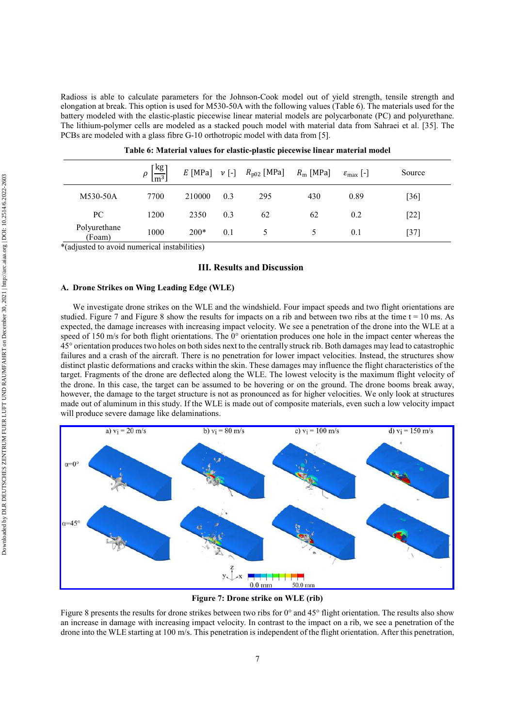Radioss is able to calculate parameters for the Johnson-Cook model out of yield strength, tensile strength and elongation at break. This option is used for M530-50A with the following values (Table 6). The materials used for the battery modeled with the elastic-plastic piecewise linear material models are polycarbonate (PC) and polyurethane. The lithium-polymer cells are modeled as a stacked pouch model with material data from Sahraei et al. [35]. The PCBs are modeled with a glass fibre G-10 orthotropic model with data from [5].

|                        | $\rho\left[\frac{\text{kg}}{\text{m}^3}\right]$ |        |     | E [MPa] $v$ [-] $R_{p02}$ [MPa] $R_m$ [MPa] |     | $\varepsilon_{\text{max}}$ [-] | Source            |
|------------------------|-------------------------------------------------|--------|-----|---------------------------------------------|-----|--------------------------------|-------------------|
| M530-50A               | 7700                                            | 210000 | 0.3 | 295                                         | 430 | 0.89                           | $\left[36\right]$ |
| PC                     | 1200                                            | 2350   | 0.3 | 62                                          | 62  | 0.2                            | $[22]$            |
| Polyurethane<br>(Foam) | 1000                                            | $200*$ | 0.1 |                                             |     | 0.1                            | [37]              |

| Table 6: Material values for elastic-plastic piecewise linear material model |  |  |  |
|------------------------------------------------------------------------------|--|--|--|
|------------------------------------------------------------------------------|--|--|--|

\*(adjusted to avoid numerical instabilities)

### **III. Results and Discussion**

## **A. Drone Strikes on Wing Leading Edge (WLE)**

We investigate drone strikes on the WLE and the windshield. Four impact speeds and two flight orientations are studied. Figure 7 and Figure 8 show the results for impacts on a rib and between two ribs at the time  $t = 10$  ms. As expected, the damage increases with increasing impact velocity. We see a penetration of the drone into the WLE at a speed of 150 m/s for both flight orientations. The  $0^{\circ}$  orientation produces one hole in the impact center whereas the 45° orientation produces two holes on both sides next to the centrally struck rib. Both damages may lead to catastrophic failures and a crash of the aircraft. There is no penetration for lower impact velocities. Instead, the structures show distinct plastic deformations and cracks within the skin. These damages may influence the flight characteristics of the target. Fragments of the drone are deflected along the WLE. The lowest velocity is the maximum flight velocity of the drone. In this case, the target can be assumed to be hovering or on the ground. The drone booms break away, however, the damage to the target structure is not as pronounced as for higher velocities. We only look at structures made out of aluminum in this study. If the WLE is made out of composite materials, even such a low velocity impact will produce severe damage like delaminations.



**Figure 7: Drone strike on WLE (rib)** 

Figure 8 presents the results for drone strikes between two ribs for  $0^{\circ}$  and  $45^{\circ}$  flight orientation. The results also show an increase in damage with increasing impact velocity. In contrast to the impact on a rib, we see a penetration of the drone into the WLE starting at 100 m/s. This penetration is independent of the flight orientation. After this penetration,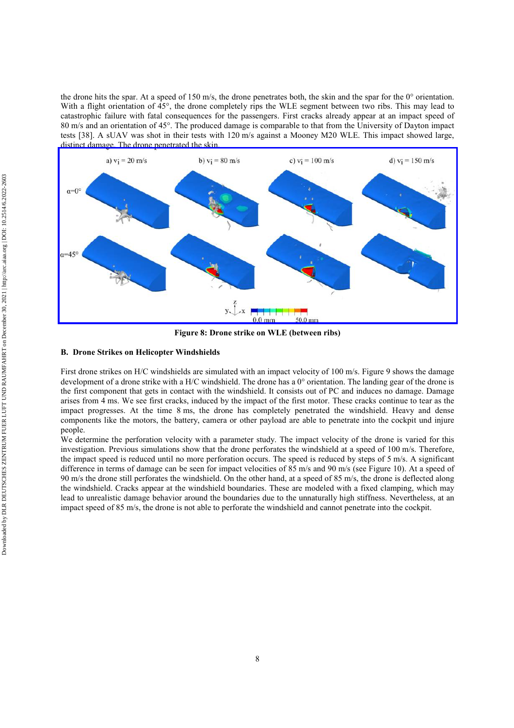the drone hits the spar. At a speed of 150 m/s, the drone penetrates both, the skin and the spar for the  $0^{\circ}$  orientation. With a flight orientation of 45°, the drone completely rips the WLE segment between two ribs. This may lead to catastrophic failure with fatal consequences for the passengers. First cracks already appear at an impact speed of 80 m/s and an orientation of 45°. The produced damage is comparable to that from the University of Dayton impact tests [38]. A sUAV was shot in their tests with 120 m/s against a Mooney M20 WLE. This impact showed large, [distinct damage. The drone penetrated the skin.](https://arc.aiaa.org/action/showImage?doi=10.2514/6.2022-2603&iName=master.img-015.jpg&w=457&h=199) 



**Figure 8: Drone strike on WLE (between ribs)** 

## **B. Drone Strikes on Helicopter Windshields**

First drone strikes on H/C windshields are simulated with an impact velocity of 100 m/s. Figure 9 shows the damage development of a drone strike with a H/C windshield. The drone has a 0° orientation. The landing gear of the drone is the first component that gets in contact with the windshield. It consists out of PC and induces no damage. Damage arises from 4 ms. We see first cracks, induced by the impact of the first motor. These cracks continue to tear as the impact progresses. At the time 8 ms, the drone has completely penetrated the windshield. Heavy and dense components like the motors, the battery, camera or other payload are able to penetrate into the cockpit und injure people.

We determine the perforation velocity with a parameter study. The impact velocity of the drone is varied for this investigation. Previous simulations show that the drone perforates the windshield at a speed of 100 m/s. Therefore, the impact speed is reduced until no more perforation occurs. The speed is reduced by steps of 5 m/s. A significant difference in terms of damage can be seen for impact velocities of 85 m/s and 90 m/s (see Figure 10). At a speed of 90 m/s the drone still perforates the windshield. On the other hand, at a speed of 85 m/s, the drone is deflected along the windshield. Cracks appear at the windshield boundaries. These are modeled with a fixed clamping, which may lead to unrealistic damage behavior around the boundaries due to the unnaturally high stiffness. Nevertheless, at an impact speed of 85 m/s, the drone is not able to perforate the windshield and cannot penetrate into the cockpit.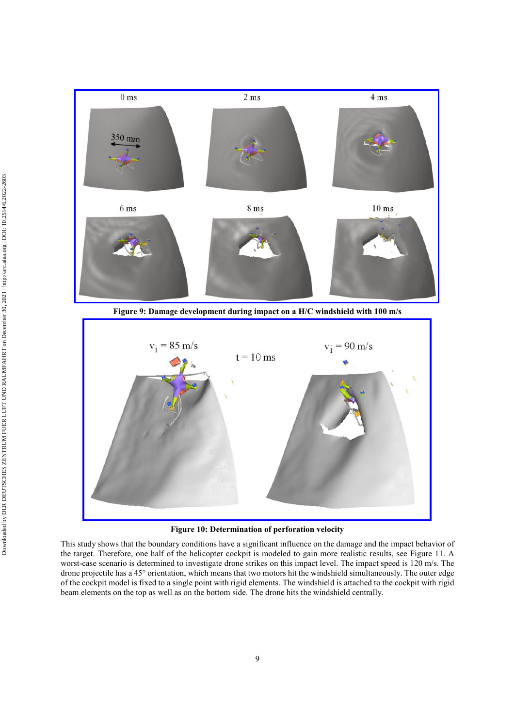

**Figure 9: Damage development during impact on a H/C windshield with 100 m/s** 



**Figure 10: Determination of perforation velocity** 

This study shows that the boundary conditions have a significant influence on the damage and the impact behavior of the target. Therefore, one half of the helicopter cockpit is modeled to gain more realistic results, see Figure 11. A worst-case scenario is determined to investigate drone strikes on this impact level. The impact speed is 120 m/s. The drone projectile has a 45° orientation, which means that two motors hit the windshield simultaneously. The outer edge of the cockpit model is fixed to a single point with rigid elements. The windshield is attached to the cockpit with rigid beam elements on the top as well as on the bottom side. The drone hits the windshield centrally.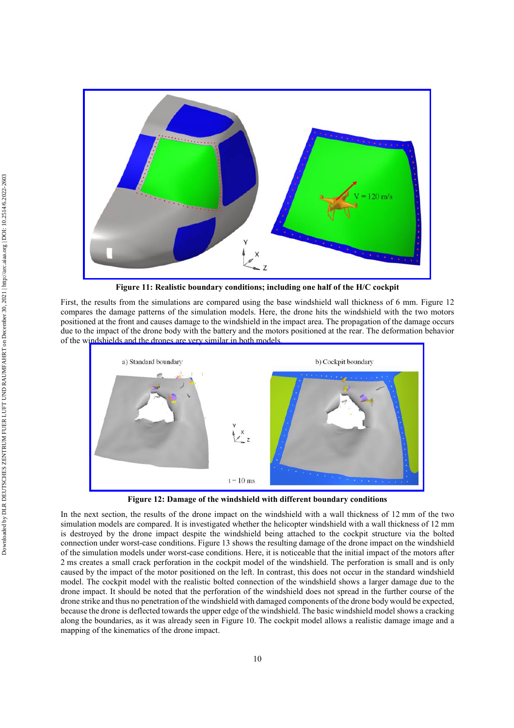

**Figure 11: Realistic boundary conditions; including one half of the H/C cockpit** 

First, the results from the simulations are compared using the base windshield wall thickness of 6 mm. Figure 12 compares the damage patterns of the simulation models. Here, the drone hits the windshield with the two motors positioned at the front and causes damage to the windshield in the impact area. The propagation of the damage occurs due to the impact of the drone body with the battery and the motors positioned at the rear. The deformation behavior of the wi[ndshields and the drones are very similar in both models.](https://arc.aiaa.org/action/showImage?doi=10.2514/6.2022-2603&iName=master.img-023.jpg&w=382&h=166) 



**Figure 12: Damage of the windshield with different boundary conditions** 

In the next section, the results of the drone impact on the windshield with a wall thickness of 12 mm of the two simulation models are compared. It is investigated whether the helicopter windshield with a wall thickness of 12 mm is destroyed by the drone impact despite the windshield being attached to the cockpit structure via the bolted connection under worst-case conditions. Figure 13 shows the resulting damage of the drone impact on the windshield of the simulation models under worst-case conditions. Here, it is noticeable that the initial impact of the motors after 2 ms creates a small crack perforation in the cockpit model of the windshield. The perforation is small and is only caused by the impact of the motor positioned on the left. In contrast, this does not occur in the standard windshield model. The cockpit model with the realistic bolted connection of the windshield shows a larger damage due to the drone impact. It should be noted that the perforation of the windshield does not spread in the further course of the drone strike and thus no penetration of the windshield with damaged components of the drone body would be expected, because the drone is deflected towards the upper edge of the windshield. The basic windshield model shows a cracking along the boundaries, as it was already seen in Figure 10. The cockpit model allows a realistic damage image and a mapping of the kinematics of the drone impact.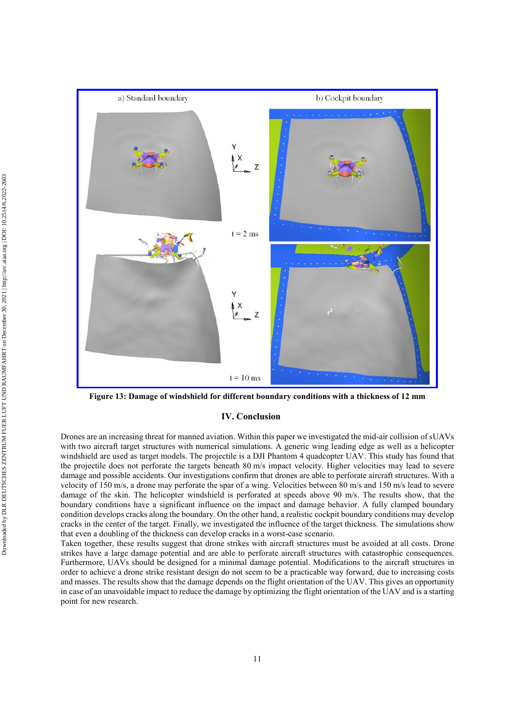

**Figure 13: Damage of windshield for different boundary conditions with a thickness of 12 mm** 

## **IV. Conclusion**

Drones are an increasing threat for manned aviation. Within this paper we investigated the mid-air collision of sUAVs with two aircraft target structures with numerical simulations. A generic wing leading edge as well as a helicopter windshield are used as target models. The projectile is a DJI Phantom 4 quadcopter UAV. This study has found that the projectile does not perforate the targets beneath 80 m/s impact velocity. Higher velocities may lead to severe damage and possible accidents. Our investigations confirm that drones are able to perforate aircraft structures. With a velocity of 150 m/s, a drone may perforate the spar of a wing. Velocities between 80 m/s and 150 m/s lead to severe damage of the skin. The helicopter windshield is perforated at speeds above 90 m/s. The results show, that the boundary conditions have a significant influence on the impact and damage behavior. A fully clamped boundary condition develops cracks along the boundary. On the other hand, a realistic cockpit boundary conditions may develop cracks in the center of the target. Finally, we investigated the influence of the target thickness. The simulations show that even a doubling of the thickness can develop cracks in a worst-case scenario.

Taken together, these results suggest that drone strikes with aircraft structures must be avoided at all costs. Drone strikes have a large damage potential and are able to perforate aircraft structures with catastrophic consequences. Furthermore, UAVs should be designed for a minimal damage potential. Modifications to the aircraft structures in order to achieve a drone strike resistant design do not seem to be a practicable way forward, due to increasing costs and masses. The results show that the damage depends on the flight orientation of the UAV. This gives an opportunity in case of an unavoidable impact to reduce the damage by optimizing the flight orientation of the UAV and is a starting point for new research.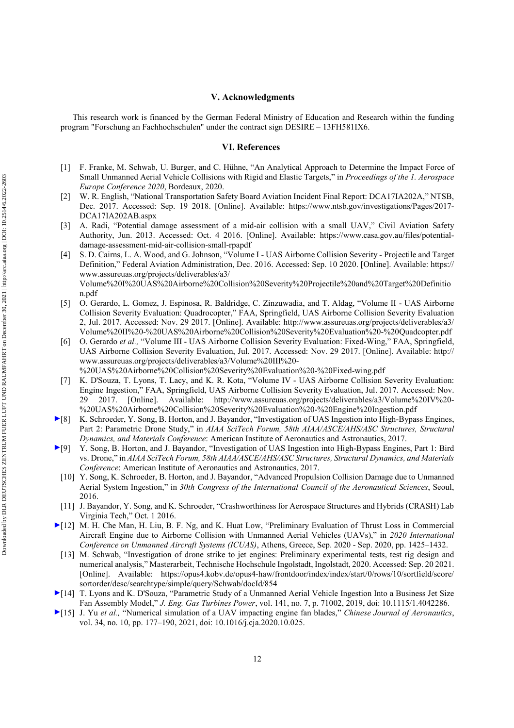### **V. Acknowledgments**

This research work is financed by the German Federal Ministry of Education and Research within the funding program "Forschung an Fachhochschulen" under the contract sign DESIRE – 13FH581IX6.

#### **VI. References**

- [1] F. Franke, M. Schwab, U. Burger, and C. Hühne, "An Analytical Approach to Determine the Impact Force of Small Unmanned Aerial Vehicle Collisions with Rigid and Elastic Targets," in *Proceedings of the 1. Aerospace Europe Conference 2020*, Bordeaux, 2020.
- [2] W. R. English, "National Transportation Safety Board Aviation Incident Final Report: DCA17IA202A," NTSB, Dec. 2017. Accessed: Sep. 19 2018. [Online]. Available: https://www.ntsb.gov/investigations/Pages/2017- DCA17IA202AB.aspx
- [3] A. Radi, "Potential damage assessment of a mid-air collision with a small UAV," Civil Aviation Safety Authority, Jun. 2013. Accessed: Oct. 4 2016. [Online]. Available: https://www.casa.gov.au/files/potentialdamage-assessment-mid-air-collision-small-rpapdf
- [4] S. D. Cairns, L. A. Wood, and G. Johnson, "Volume I UAS Airborne Collision Severity Projectile and Target Definition," Federal Aviation Administration, Dec. 2016. Accessed: Sep. 10 2020. [Online]. Available: https:// www.assureuas.org/projects/deliverables/a3/ Volume%20I%20UAS%20Airborne%20Collision%20Severity%20Projectile%20and%20Target%20Definitio n.pdf
- [5] O. Gerardo, L. Gomez, J. Espinosa, R. Baldridge, C. Zinzuwadia, and T. Aldag, "Volume II UAS Airborne Collision Severity Evaluation: Quadrocopter," FAA, Springfield, UAS Airborne Collision Severity Evaluation 2, Jul. 2017. Accessed: Nov. 29 2017. [Online]. Available: http://www.assureuas.org/projects/deliverables/a3/ Volume%20II%20-%20UAS%20Airborne%20Collision%20Severity%20Evaluation%20-%20Quadcopter.pdf
- [6] O. Gerardo *et al.,* "Volume III UAS Airborne Collision Severity Evaluation: Fixed-Wing," FAA, Springfield, UAS Airborne Collision Severity Evaluation, Jul. 2017. Accessed: Nov. 29 2017. [Online]. Available: http:// www.assureuas.org/projects/deliverables/a3/Volume%20III%20- %20UAS%20Airborne%20Collision%20Severity%20Evaluation%20-%20Fixed-wing.pdf
- [7] K. D'Souza, T. Lyons, T. Lacy, and K. R. Kota, "Volume IV UAS Airborne Collision Severity Evaluation: Engine Ingestion," FAA, Springfield, UAS Airborne Collision Severity Evaluation, Jul. 2017. Accessed: Nov. 29 2017. [Online]. Available: http://www.assureuas.org/projects/deliverables/a3/Volume%20IV%20- %20UAS%20Airborne%20Collision%20Severity%20Evaluation%20-%20Engine%20Ingestion.pdf
- [8] K. Schroeder, Y. Song, B. Horton, and J. Bayandor, "Investigation of UAS Ingestion into High-Bypass Engines, Part 2: Parametric Drone Study," in *AIAA SciTech Forum, 58th AIAA/ASCE/AHS/ASC Structures, Structural Dynamics, and Materials Conference*: American Institute of Aeronautics and Astronautics, 2017.
- [9] Y. Song, B. Horton, and J. Bayandor, "Investigation of UAS Ingestion into High-Bypass Engines, Part 1: Bird vs. Drone," in *AIAA SciTech Forum, 58th AIAA/ASCE/AHS/ASC Structures, Structural Dynamics, and Materials Conference*: American Institute of Aeronautics and Astronautics, 2017.
	- [10] Y. Song, K. Schroeder, B. Horton, and J. Bayandor, "Advanced Propulsion Collision Damage due to Unmanned Aerial System Ingestion," in *30th Congress of the International Council of the Aeronautical Sciences*, Seoul, 2016.
- [11] J. Bayandor, Y. Song, and K. Schroeder, "Crashworthiness for Aerospace Structures and Hybrids (CRASH) Lab Virginia Tech," Oct. 1 2016.
- [12] M. H. Che Man, H. Liu, B. F. Ng, and K. Huat Low, "Preliminary Evaluation of Thrust Loss in Commercial Aircraft Engine due to Airborne Collision with Unmanned Aerial Vehicles (UAVs)," in *2020 International Conference on Unmanned Aircraft Systems (ICUAS)*, Athens, Greece, Sep. 2020 - Sep. 2020, pp. 1425–1432.
	- [13] M. Schwab, "Investigation of drone strike to jet engines: Preliminary experimental tests, test rig design and numerical analysis," Masterarbeit, Technische Hochschule Ingolstadt, Ingolstadt, 2020. Accessed: Sep. 20 2021. [Online]. Available: https://opus4.kobv.de/opus4-haw/frontdoor/index/index/start/0/rows/10/sortfield/score/ sortorder/desc/searchtype/simple/query/Schwab/docId/854
- [14] T. Lyons and K. D'Souza, "Parametric Study of a Unmanned Aerial Vehicle Ingestion Into a Business Jet Size Fan Assembly Model," *J. Eng. Gas Turbines Power*, vol. 141, no. 7, p. 71002, 2019, doi: 10.1115/1.4042286.
- [15] J. Yu *et al.,* "Numerical simulation of a UAV impacting engine fan blades," *Chinese Journal of Aeronautics*, vol. 34, no. 10, pp. 177–190, 2021, doi: 10.1016/j.cja.2020.10.025.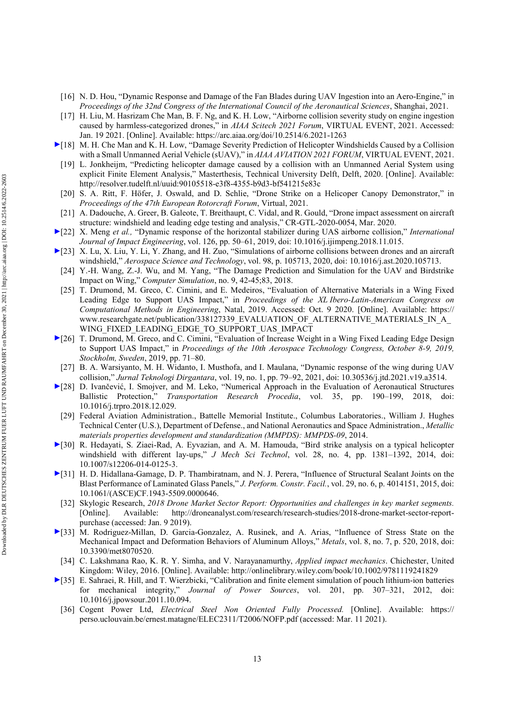- [16] N. D. Hou, "Dynamic Response and Damage of the Fan Blades during UAV Ingestion into an Aero-Engine," in *Proceedings of the 32nd Congress of the International Council of the Aeronautical Sciences*, Shanghai, 2021.
- [17] H. Liu, M. Hasrizam Che Man, B. F. Ng, and K. H. Low, "Airborne collision severity study on engine ingestion caused by harmless-categorized drones," in *AIAA Scitech 2021 Forum*, VIRTUAL EVENT, 2021. Accessed: Jan. 19 2021. [Online]. Available: https://arc.aiaa.org/doi/10.2514/6.2021-1263
- [18] M. H. Che Man and K. H. Low, "Damage Severity Prediction of Helicopter Windshields Caused by a Collision with a Small Unmanned Aerial Vehicle (sUAV)," in *AIAA AVIATION 2021 FORUM*, VIRTUAL EVENT, 2021.
- [19] L. Jonkheijm, "Predicting helicopter damage caused by a collision with an Unmanned Aerial System using explicit Finite Element Analysis," Masterthesis, Technical University Delft, Delft, 2020. [Online]. Available: http://resolver.tudelft.nl/uuid:90105518-e3f8-4355-b9d3-bf541215e83c
- [20] S. A. Ritt, F. Höfer, J. Oswald, and D. Schlie, "Drone Strike on a Helicoper Canopy Demonstrator," in *Proceedings of the 47th European Rotorcraft Forum*, Virtual, 2021.
- [21] A. Dadouche, A. Greer, B. Galeote, T. Breithaupt, C. Vidal, and R. Gould, "Drone impact assessment on aircraft structure: windshield and leading edge testing and analysis," CR-GTL-2020-0054, Mar. 2020.
- [22] X. Meng *et al.,* "Dynamic response of the horizontal stabilizer during UAS airborne collision," *International Journal of Impact Engineering*, vol. 126, pp. 50–61, 2019, doi: 10.1016/j.ijimpeng.2018.11.015.
- [23] X. Lu, X. Liu, Y. Li, Y. Zhang, and H. Zuo, "Simulations of airborne collisions between drones and an aircraft windshield," *Aerospace Science and Technology*, vol. 98, p. 105713, 2020, doi: 10.1016/j.ast.2020.105713.
	- [24] Y.-H. Wang, Z.-J. Wu, and M. Yang, "The Damage Prediction and Simulation for the UAV and Birdstrike Impact on Wing," *Computer Simulation*, no. 9, 42-45;83, 2018.
	- [25] T. Drumond, M. Greco, C. Cimini, and E. Medeiros, "Evaluation of Alternative Materials in a Wing Fixed Leading Edge to Support UAS Impact," in *Proceedings of the XL Ibero-Latin-American Congress on Computational Methods in Engineering*, Natal, 2019. Accessed: Oct. 9 2020. [Online]. Available: https:// www.researchgate.net/publication/338127339\_EVALUATION\_OF\_ALTERNATIVE\_MATERIALS\_IN\_A WING FIXED LEADING EDGE TO SUPPORT UAS IMPACT
- [26] T. Drumond, M. Greco, and C. Cimini, "Evaluation of Increase Weight in a Wing Fixed Leading Edge Design to Support UAS Impact," in *Proceedings of the 10th Aerospace Technology Congress, October 8-9, 2019, Stockholm, Sweden*, 2019, pp. 71–80.
- [27] B. A. Warsiyanto, M. H. Widanto, I. Musthofa, and I. Maulana, "Dynamic response of the wing during UAV collision," *Jurnal Teknologi Dirgantara*, vol. 19, no. 1, pp. 79–92, 2021, doi: 10.30536/j.jtd.2021.v19.a3514.
- [28] D. Ivančević, I. Smojver, and M. Leko, "Numerical Approach in the Evaluation of Aeronautical Structures Ballistic Protection," *Transportation Research Procedia*, vol. 35, pp. 190–199, 2018, doi: 10.1016/j.trpro.2018.12.029.
- [29] Federal Aviation Administration., Battelle Memorial Institute., Columbus Laboratories., William J. Hughes Technical Center (U.S.), Department of Defense., and National Aeronautics and Space Administration., *Metallic materials properties development and standardization (MMPDS): MMPDS-09*, 2014.
- [30] R. Hedayati, S. Ziaei-Rad, A. Eyvazian, and A. M. Hamouda, "Bird strike analysis on a typical helicopter windshield with different lay-ups," *J Mech Sci Technol*, vol. 28, no. 4, pp. 1381–1392, 2014, doi: 10.1007/s12206-014-0125-3.
- [31] H. D. Hidallana-Gamage, D. P. Thambiratnam, and N. J. Perera, "Influence of Structural Sealant Joints on the Blast Performance of Laminated Glass Panels," *J. Perform. Constr. Facil.*, vol. 29, no. 6, p. 4014151, 2015, doi: 10.1061/(ASCE)CF.1943-5509.0000646.
- [32] Skylogic Research, *2018 Drone Market Sector Report: Opportunities and challenges in key market segments.*  [Online]. Available: http://droneanalyst.com/research/research-studies/2018-drone-market-sector-reportpurchase (accessed: Jan. 9 2019).
- [33] M. Rodriguez-Millan, D. Garcia-Gonzalez, A. Rusinek, and A. Arias, "Influence of Stress State on the Mechanical Impact and Deformation Behaviors of Aluminum Alloys," *Metals*, vol. 8, no. 7, p. 520, 2018, doi: 10.3390/met8070520.
- [34] C. Lakshmana Rao, K. R. Y. Simha, and V. Narayanamurthy, *Applied impact mechanics*. Chichester, United Kingdom: Wiley, 2016. [Online]. Available: http://onlinelibrary.wiley.com/book/10.1002/9781119241829
- [35] E. Sahraei, R. Hill, and T. Wierzbicki, "Calibration and finite element simulation of pouch lithium-ion batteries for mechanical integrity," *Journal of Power Sources*, vol. 201, pp. 307–321, 2012, doi: 10.1016/j.jpowsour.2011.10.094.
	- [36] Cogent Power Ltd, *Electrical Steel Non Oriented Fully Processed.* [Online]. Available: https:// perso.uclouvain.be/ernest.matagne/ELEC2311/T2006/NOFP.pdf (accessed: Mar. 11 2021).